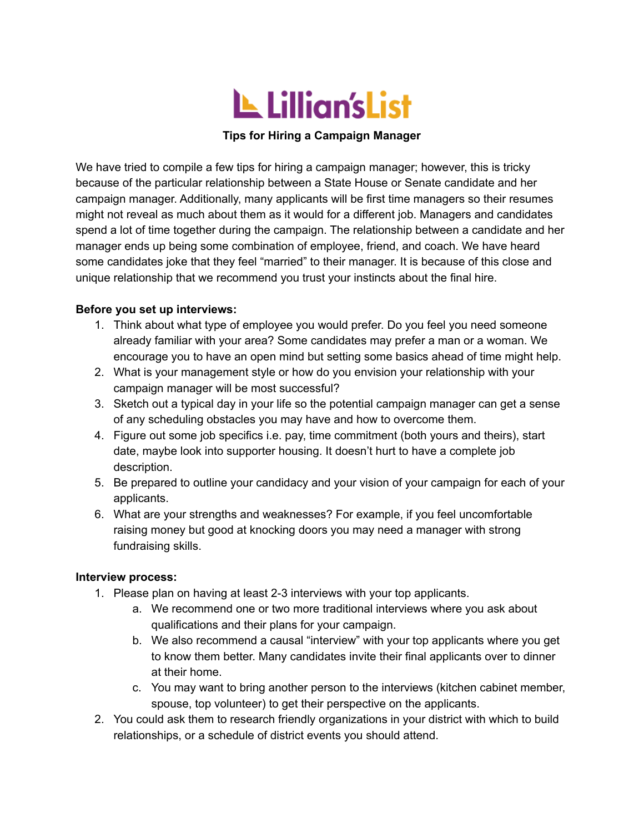

## **Tips for Hiring a Campaign Manager**

We have tried to compile a few tips for hiring a campaign manager; however, this is tricky because of the particular relationship between a State House or Senate candidate and her campaign manager. Additionally, many applicants will be first time managers so their resumes might not reveal as much about them as it would for a different job. Managers and candidates spend a lot of time together during the campaign. The relationship between a candidate and her manager ends up being some combination of employee, friend, and coach. We have heard some candidates joke that they feel "married" to their manager. It is because of this close and unique relationship that we recommend you trust your instincts about the final hire.

## **Before you set up interviews:**

- 1. Think about what type of employee you would prefer. Do you feel you need someone already familiar with your area? Some candidates may prefer a man or a woman. We encourage you to have an open mind but setting some basics ahead of time might help.
- 2. What is your management style or how do you envision your relationship with your campaign manager will be most successful?
- 3. Sketch out a typical day in your life so the potential campaign manager can get a sense of any scheduling obstacles you may have and how to overcome them.
- 4. Figure out some job specifics i.e. pay, time commitment (both yours and theirs), start date, maybe look into supporter housing. It doesn't hurt to have a complete job description.
- 5. Be prepared to outline your candidacy and your vision of your campaign for each of your applicants.
- 6. What are your strengths and weaknesses? For example, if you feel uncomfortable raising money but good at knocking doors you may need a manager with strong fundraising skills.

## **Interview process:**

- 1. Please plan on having at least 2-3 interviews with your top applicants.
	- a. We recommend one or two more traditional interviews where you ask about qualifications and their plans for your campaign.
	- b. We also recommend a causal "interview" with your top applicants where you get to know them better. Many candidates invite their final applicants over to dinner at their home.
	- c. You may want to bring another person to the interviews (kitchen cabinet member, spouse, top volunteer) to get their perspective on the applicants.
- 2. You could ask them to research friendly organizations in your district with which to build relationships, or a schedule of district events you should attend.